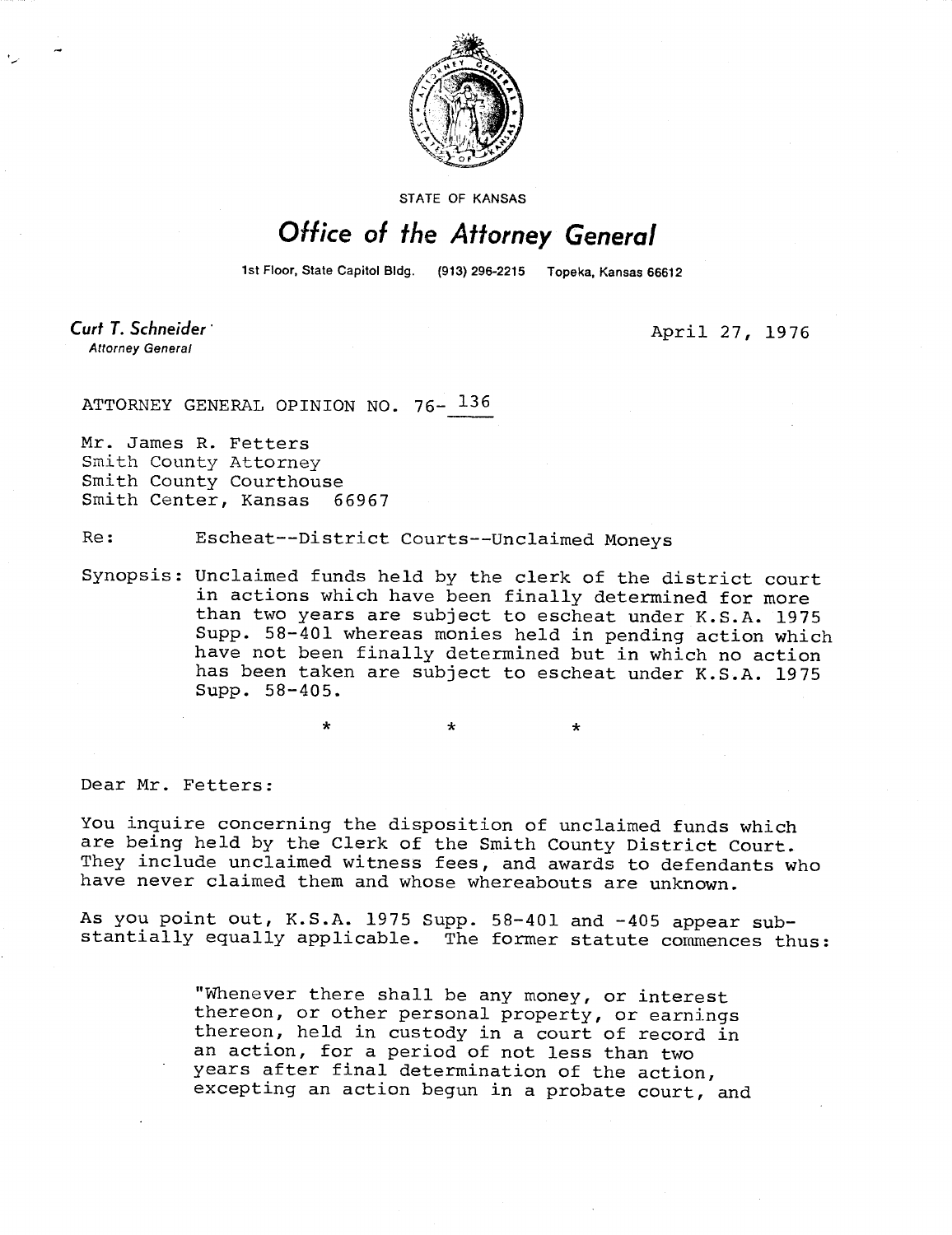

STATE OF KANSAS

## Office of the Attorney General

1st Floor, State Capitol Bldg. (913) 296-2215 Topeka, Kansas 66612

Curt T. Schneider **Attorney General** 

April 27, 1976

ATTORNEY GENERAL OPINION NO. 76- 136

Mr. James R. Fetters Smith County Attorney Smith County Courthouse Smith Center, Kansas 66967

Re: Escheat--District Courts--Unclaimed Moneys

Synopsis: Unclaimed funds held by the clerk of the district court in actions which have been finally determined for more than two years are subject to escheat under K.S.A. 1975 Supp. 58-401 whereas monies held in pending action which have not been finally determined but in which no action has been taken are subject to escheat under K.S.A. 1975 Supp. 58-405.

Dear Mr. Fetters:

You inquire concerning the disposition of unclaimed funds which are being held by the Clerk of the Smith County District Court. They include unclaimed witness fees, and awards to defendants who have never claimed them and whose whereabouts are unknown.

As you point out, K.S.A. 1975 Supp. 58-401 and -405 appear substantially equally applicable. The former statute commences thus:

> "Whenever there shall be any money, or interest thereon, or other personal property, or earnings thereon, held in custody in a court of record in an action, for a period of not less than two years after final determination of the action, excepting an action begun in a probate court, and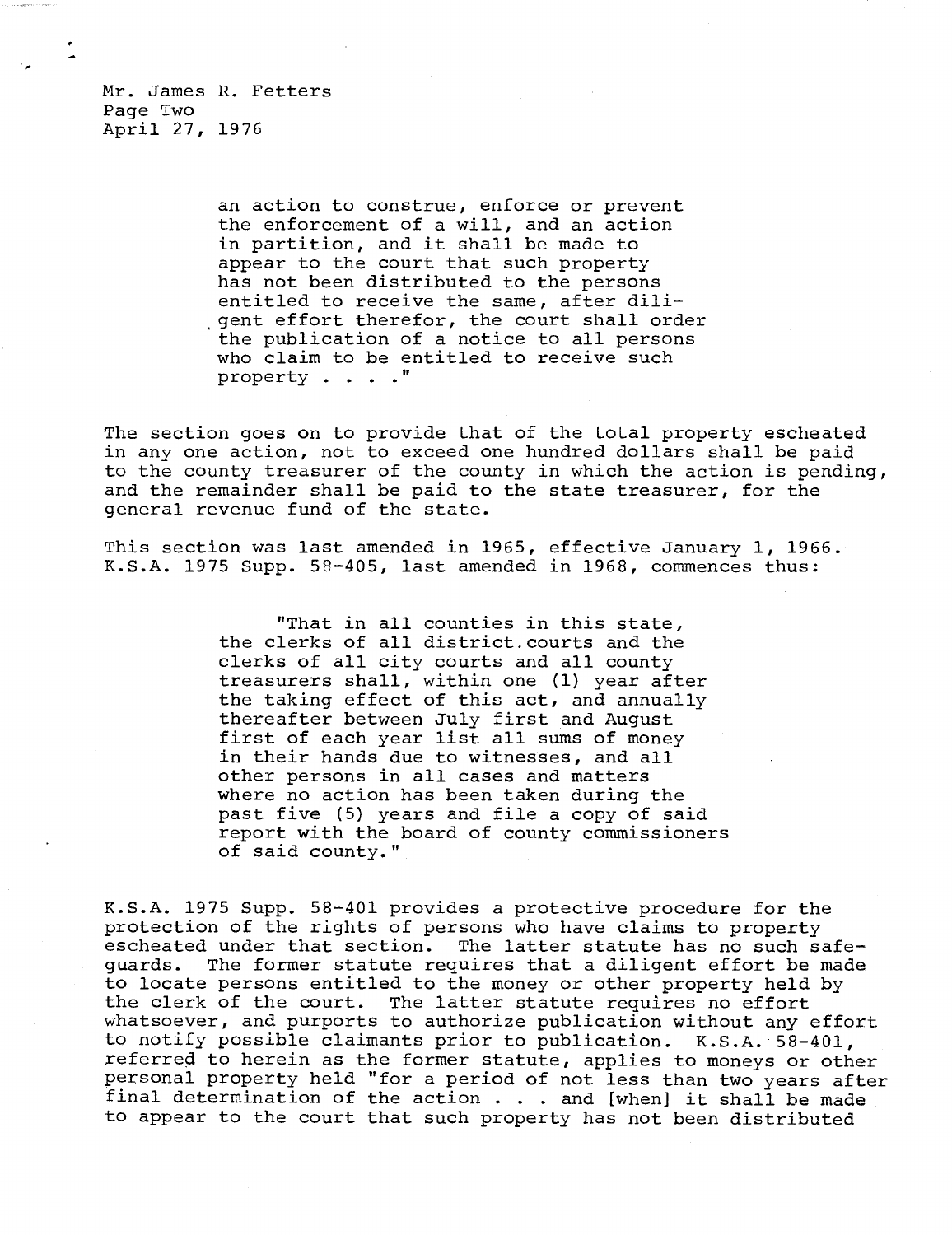Mr. James R. Fetters Page Two April 27, 1976

> an action to construe, enforce or prevent the enforcement of a will, and an action in partition, and it shall be made to appear to the court that such property has not been distributed to the persons entitled to receive the same, after diligent effort therefor, the court shall order the publication of a notice to all persons who claim to be entitled to receive such property . . . ."

The section goes on to provide that of the total property escheated in any one action, not to exceed one hundred dollars shall be paid to the county treasurer of the county in which the action is pending, and the remainder shall be paid to the state treasurer, for the general revenue fund of the state.

This section was last amended in 1965, effective January 1, 1966. K.S.A. 1975 Supp. 59-405, last amended in 1968, commences thus:

> "That in all counties in this state, the clerks of all district. courts and the clerks of all city courts and all county treasurers shall, within one (1) year after the taking effect of this act, and annually thereafter between July first and August first of each year list all sums of money in their hands due to witnesses, and all other persons in all cases and matters where no action has been taken during the past five (5) years and file a copy of said report with the board of county commissioners of said county."

K.S.A. 1975 Supp. 58-401 provides a protective procedure for the protection of the rights of persons who have claims to property escheated under that section. The latter statute has no such safeguards. The former statute requires that a diligent effort be made to locate persons entitled to the money or other property held by the clerk of the court. The latter statute requires no effort whatsoever, and purports to authorize publication without any effort to notify possible claimants prior to publication. K.S.A. 58-401, referred to herein as the former statute, applies to moneys or other personal property held "for a period of not less than two years after final determination of the action  $\cdots$  and [when] it shall be made to appear to the court that such property has not been distributed